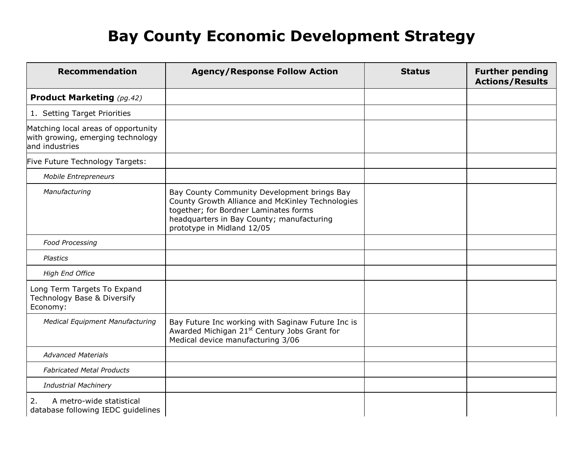| <b>Recommendation</b>                                                                      | <b>Agency/Response Follow Action</b>                                                                                                                                                                                | <b>Status</b> | <b>Further pending</b><br><b>Actions/Results</b> |
|--------------------------------------------------------------------------------------------|---------------------------------------------------------------------------------------------------------------------------------------------------------------------------------------------------------------------|---------------|--------------------------------------------------|
| <b>Product Marketing</b> (pg.42)                                                           |                                                                                                                                                                                                                     |               |                                                  |
| 1. Setting Target Priorities                                                               |                                                                                                                                                                                                                     |               |                                                  |
| Matching local areas of opportunity<br>with growing, emerging technology<br>and industries |                                                                                                                                                                                                                     |               |                                                  |
| Five Future Technology Targets:                                                            |                                                                                                                                                                                                                     |               |                                                  |
| <b>Mobile Entrepreneurs</b>                                                                |                                                                                                                                                                                                                     |               |                                                  |
| Manufacturing                                                                              | Bay County Community Development brings Bay<br>County Growth Alliance and McKinley Technologies<br>together; for Bordner Laminates forms<br>headquarters in Bay County; manufacturing<br>prototype in Midland 12/05 |               |                                                  |
| <b>Food Processing</b>                                                                     |                                                                                                                                                                                                                     |               |                                                  |
| <b>Plastics</b>                                                                            |                                                                                                                                                                                                                     |               |                                                  |
| <b>High End Office</b>                                                                     |                                                                                                                                                                                                                     |               |                                                  |
| Long Term Targets To Expand<br>Technology Base & Diversify<br>Economy:                     |                                                                                                                                                                                                                     |               |                                                  |
| <b>Medical Equipment Manufacturing</b>                                                     | Bay Future Inc working with Saginaw Future Inc is<br>Awarded Michigan 21 <sup>st</sup> Century Jobs Grant for<br>Medical device manufacturing 3/06                                                                  |               |                                                  |
| <b>Advanced Materials</b>                                                                  |                                                                                                                                                                                                                     |               |                                                  |
| <b>Fabricated Metal Products</b>                                                           |                                                                                                                                                                                                                     |               |                                                  |
| <b>Industrial Machinery</b>                                                                |                                                                                                                                                                                                                     |               |                                                  |
| A metro-wide statistical<br>2.<br>database following IEDC guidelines                       |                                                                                                                                                                                                                     |               |                                                  |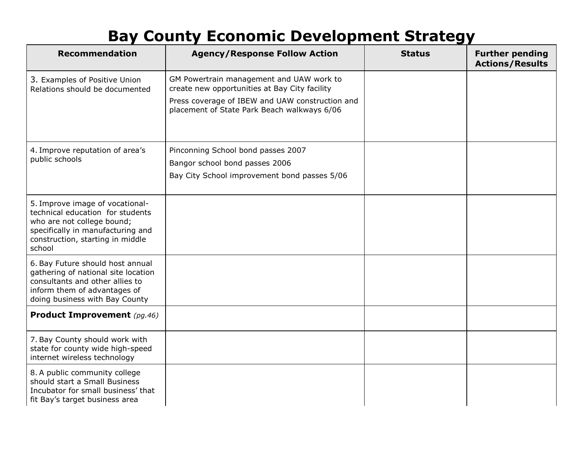| <b>Recommendation</b>                                                                                                                                                                | <b>Agency/Response Follow Action</b>                                                           | <b>Status</b> | <b>Further pending</b><br><b>Actions/Results</b> |
|--------------------------------------------------------------------------------------------------------------------------------------------------------------------------------------|------------------------------------------------------------------------------------------------|---------------|--------------------------------------------------|
| 3. Examples of Positive Union<br>Relations should be documented                                                                                                                      | GM Powertrain management and UAW work to<br>create new opportunities at Bay City facility      |               |                                                  |
|                                                                                                                                                                                      | Press coverage of IBEW and UAW construction and<br>placement of State Park Beach walkways 6/06 |               |                                                  |
| 4. Improve reputation of area's<br>public schools                                                                                                                                    | Pinconning School bond passes 2007                                                             |               |                                                  |
|                                                                                                                                                                                      | Bangor school bond passes 2006<br>Bay City School improvement bond passes 5/06                 |               |                                                  |
| 5. Improve image of vocational-<br>technical education for students<br>who are not college bound;<br>specifically in manufacturing and<br>construction, starting in middle<br>school |                                                                                                |               |                                                  |
| 6. Bay Future should host annual<br>gathering of national site location<br>consultants and other allies to<br>inform them of advantages of<br>doing business with Bay County         |                                                                                                |               |                                                  |
| <b>Product Improvement</b> (pg.46)                                                                                                                                                   |                                                                                                |               |                                                  |
| 7. Bay County should work with<br>state for county wide high-speed<br>internet wireless technology                                                                                   |                                                                                                |               |                                                  |
| 8. A public community college<br>should start a Small Business<br>Incubator for small business' that<br>fit Bay's target business area                                               |                                                                                                |               |                                                  |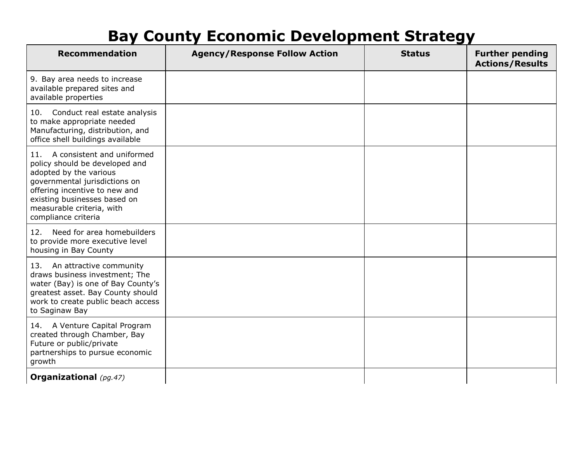| <b>Recommendation</b>                                                                                                                                                                                                                               | <b>Agency/Response Follow Action</b> | <b>Status</b> | <b>Further pending</b><br><b>Actions/Results</b> |
|-----------------------------------------------------------------------------------------------------------------------------------------------------------------------------------------------------------------------------------------------------|--------------------------------------|---------------|--------------------------------------------------|
| 9. Bay area needs to increase<br>available prepared sites and<br>available properties                                                                                                                                                               |                                      |               |                                                  |
| 10.<br>Conduct real estate analysis<br>to make appropriate needed<br>Manufacturing, distribution, and<br>office shell buildings available                                                                                                           |                                      |               |                                                  |
| A consistent and uniformed<br>11.<br>policy should be developed and<br>adopted by the various<br>governmental jurisdictions on<br>offering incentive to new and<br>existing businesses based on<br>measurable criteria, with<br>compliance criteria |                                      |               |                                                  |
| 12. Need for area homebuilders<br>to provide more executive level<br>housing in Bay County                                                                                                                                                          |                                      |               |                                                  |
| 13. An attractive community<br>draws business investment; The<br>water (Bay) is one of Bay County's<br>greatest asset. Bay County should<br>work to create public beach access<br>to Saginaw Bay                                                    |                                      |               |                                                  |
| 14. A Venture Capital Program<br>created through Chamber, Bay<br>Future or public/private<br>partnerships to pursue economic<br>growth                                                                                                              |                                      |               |                                                  |
| <b>Organizational</b> (pg.47)                                                                                                                                                                                                                       |                                      |               |                                                  |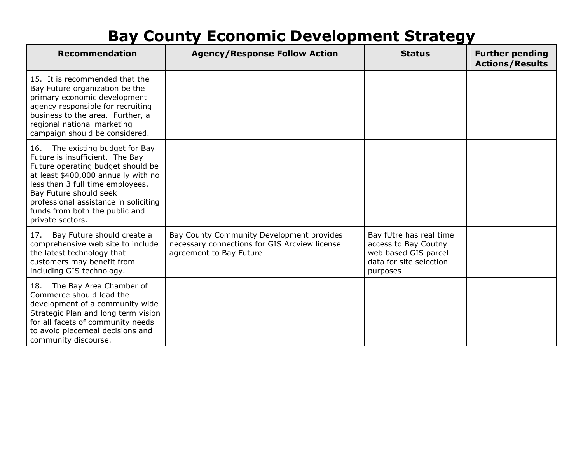| <b>Recommendation</b>                                                                                                                                                                                                                                                                                       | <b>Agency/Response Follow Action</b>                                                                                  | <b>Status</b>                                                                                                  | <b>Further pending</b><br><b>Actions/Results</b> |
|-------------------------------------------------------------------------------------------------------------------------------------------------------------------------------------------------------------------------------------------------------------------------------------------------------------|-----------------------------------------------------------------------------------------------------------------------|----------------------------------------------------------------------------------------------------------------|--------------------------------------------------|
| 15. It is recommended that the<br>Bay Future organization be the<br>primary economic development<br>agency responsible for recruiting<br>business to the area. Further, a<br>regional national marketing<br>campaign should be considered.                                                                  |                                                                                                                       |                                                                                                                |                                                  |
| 16. The existing budget for Bay<br>Future is insufficient. The Bay<br>Future operating budget should be<br>at least \$400,000 annually with no<br>less than 3 full time employees.<br>Bay Future should seek<br>professional assistance in soliciting<br>funds from both the public and<br>private sectors. |                                                                                                                       |                                                                                                                |                                                  |
| 17. Bay Future should create a<br>comprehensive web site to include<br>the latest technology that<br>customers may benefit from<br>including GIS technology.                                                                                                                                                | Bay County Community Development provides<br>necessary connections for GIS Arcview license<br>agreement to Bay Future | Bay fUtre has real time<br>access to Bay Coutny<br>web based GIS parcel<br>data for site selection<br>purposes |                                                  |
| 18. The Bay Area Chamber of<br>Commerce should lead the<br>development of a community wide<br>Strategic Plan and long term vision<br>for all facets of community needs<br>to avoid piecemeal decisions and<br>community discourse.                                                                          |                                                                                                                       |                                                                                                                |                                                  |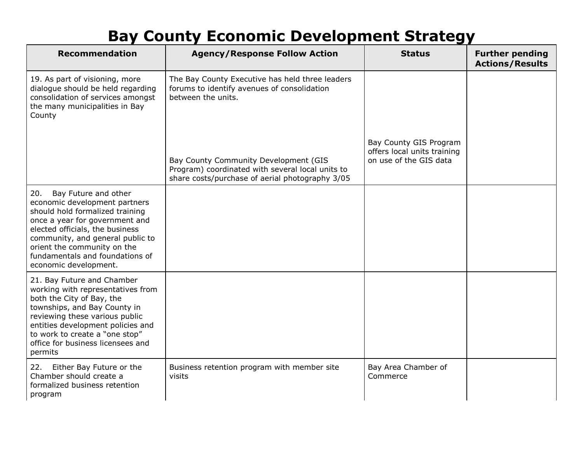| <b>Recommendation</b>                                                                                                                                                                                                                                                                               | <b>Agency/Response Follow Action</b>                                                                                                         | <b>Status</b>                                                                   | <b>Further pending</b><br><b>Actions/Results</b> |
|-----------------------------------------------------------------------------------------------------------------------------------------------------------------------------------------------------------------------------------------------------------------------------------------------------|----------------------------------------------------------------------------------------------------------------------------------------------|---------------------------------------------------------------------------------|--------------------------------------------------|
| 19. As part of visioning, more<br>dialogue should be held regarding<br>consolidation of services amongst<br>the many municipalities in Bay<br>County                                                                                                                                                | The Bay County Executive has held three leaders<br>forums to identify avenues of consolidation<br>between the units.                         |                                                                                 |                                                  |
|                                                                                                                                                                                                                                                                                                     | Bay County Community Development (GIS<br>Program) coordinated with several local units to<br>share costs/purchase of aerial photography 3/05 | Bay County GIS Program<br>offers local units training<br>on use of the GIS data |                                                  |
| Bay Future and other<br>20.<br>economic development partners<br>should hold formalized training<br>once a year for government and<br>elected officials, the business<br>community, and general public to<br>orient the community on the<br>fundamentals and foundations of<br>economic development. |                                                                                                                                              |                                                                                 |                                                  |
| 21. Bay Future and Chamber<br>working with representatives from<br>both the City of Bay, the<br>townships, and Bay County in<br>reviewing these various public<br>entities development policies and<br>to work to create a "one stop"<br>office for business licensees and<br>permits               |                                                                                                                                              |                                                                                 |                                                  |
| Either Bay Future or the<br>22.<br>Chamber should create a<br>formalized business retention<br>program                                                                                                                                                                                              | Business retention program with member site<br>visits                                                                                        | Bay Area Chamber of<br>Commerce                                                 |                                                  |